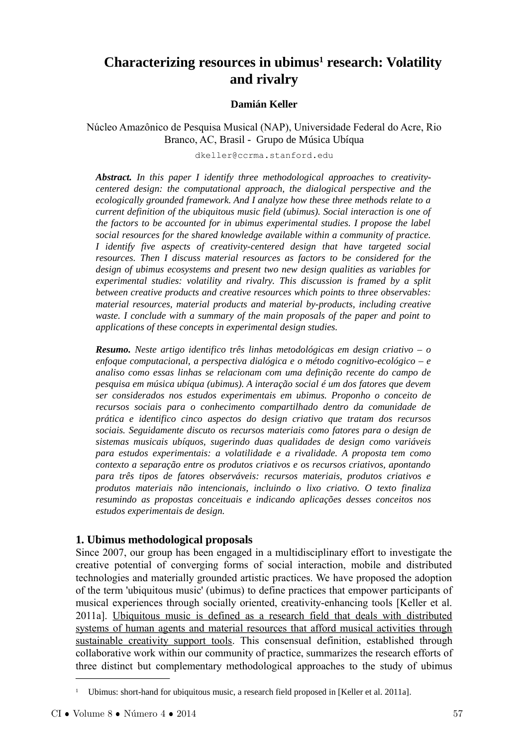# **Characterizing resources in ubimus<sup>1</sup> research: Volatility and rivalry**

#### **Damián Keller**

Núcleo Amazônico de Pesquisa Musical (NAP), Universidade Federal do Acre, Rio Branco, AC, Brasil - Grupo de Música Ubíqua

dkeller@ccrma.stanford.edu

*Abstract. In this paper I identify three methodological approaches to creativitycentered design: the computational approach, the dialogical perspective and the ecologically grounded framework. And I analyze how these three methods relate to a current definition of the ubiquitous music field (ubimus). Social interaction is one of the factors to be accounted for in ubimus experimental studies. I propose the label social resources for the shared knowledge available within a community of practice. I identify five aspects of creativity-centered design that have targeted social resources. Then I discuss material resources as factors to be considered for the design of ubimus ecosystems and present two new design qualities as variables for experimental studies: volatility and rivalry. This discussion is framed by a split between creative products and creative resources which points to three observables: material resources, material products and material by-products, including creative waste. I conclude with a summary of the main proposals of the paper and point to applications of these concepts in experimental design studies.*

*Resumo. Neste artigo identifico três linhas metodológicas em design criativo – o enfoque computacional, a perspectiva dialógica e o método cognitivo-ecológico – e analiso como essas linhas se relacionam com uma definição recente do campo de pesquisa em música ubíqua (ubimus). A interação social é um dos fatores que devem ser considerados nos estudos experimentais em ubimus. Proponho o conceito de recursos sociais para o conhecimento compartilhado dentro da comunidade de prática e identifico cinco aspectos do design criativo que tratam dos recursos sociais. Seguidamente discuto os recursos materiais como fatores para o design de sistemas musicais ubíquos, sugerindo duas qualidades de design como variáveis para estudos experimentais: a volatilidade e a rivalidade. A proposta tem como contexto a separação entre os produtos criativos e os recursos criativos, apontando para três tipos de fatores observáveis: recursos materiais, produtos criativos e produtos materiais não intencionais, incluindo o lixo criativo. O texto finaliza resumindo as propostas conceituais e indicando aplicações desses conceitos nos estudos experimentais de design.*

# **1. Ubimus methodological proposals**

Since 2007, our group has been engaged in a multidisciplinary effort to investigate the creative potential of converging forms of social interaction, mobile and distributed technologies and materially grounded artistic practices. We have proposed the adoption of the term 'ubiquitous music' (ubimus) to define practices that empower participants of musical experiences through socially oriented, creativity-enhancing tools [Keller et al. 2011a]. Ubiquitous music is defined as a research field that deals with distributed systems of human agents and material resources that afford musical activities through sustainable creativity support tools. This consensual definition, established through collaborative work within our community of practice, summarizes the research efforts of three distinct but complementary methodological approaches to the study of ubimus

<sup>&</sup>lt;sup>1</sup> Ubimus: short-hand for ubiquitous music, a research field proposed in [Keller et al. 2011a].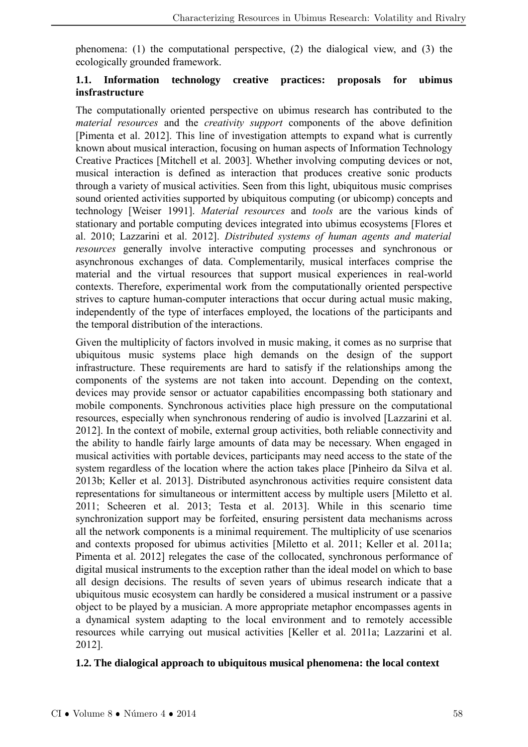phenomena: (1) the computational perspective, (2) the dialogical view, and (3) the ecologically grounded framework.

#### **1.1. Information technology creative practices: proposals for ubimus insfrastructure**

The computationally oriented perspective on ubimus research has contributed to the *material resources* and the *creativity support* components of the above definition [Pimenta et al. 2012]. This line of investigation attempts to expand what is currently known about musical interaction, focusing on human aspects of Information Technology Creative Practices [Mitchell et al. 2003]. Whether involving computing devices or not, musical interaction is defined as interaction that produces creative sonic products through a variety of musical activities. Seen from this light, ubiquitous music comprises sound oriented activities supported by ubiquitous computing (or ubicomp) concepts and technology [Weiser 1991]. *Material resources* and *tools* are the various kinds of stationary and portable computing devices integrated into ubimus ecosystems [Flores et al. 2010; Lazzarini et al. 2012]. *Distributed systems of human agents and material resources* generally involve interactive computing processes and synchronous or asynchronous exchanges of data. Complementarily, musical interfaces comprise the material and the virtual resources that support musical experiences in real-world contexts. Therefore, experimental work from the computationally oriented perspective strives to capture human-computer interactions that occur during actual music making, independently of the type of interfaces employed, the locations of the participants and the temporal distribution of the interactions.

Given the multiplicity of factors involved in music making, it comes as no surprise that ubiquitous music systems place high demands on the design of the support infrastructure. These requirements are hard to satisfy if the relationships among the components of the systems are not taken into account. Depending on the context, devices may provide sensor or actuator capabilities encompassing both stationary and mobile components. Synchronous activities place high pressure on the computational resources, especially when synchronous rendering of audio is involved [Lazzarini et al. 2012]. In the context of mobile, external group activities, both reliable connectivity and the ability to handle fairly large amounts of data may be necessary. When engaged in musical activities with portable devices, participants may need access to the state of the system regardless of the location where the action takes place [Pinheiro da Silva et al. 2013b; Keller et al. 2013]. Distributed asynchronous activities require consistent data representations for simultaneous or intermittent access by multiple users [Miletto et al. 2011; Scheeren et al. 2013; Testa et al. 2013]. While in this scenario time synchronization support may be forfeited, ensuring persistent data mechanisms across all the network components is a minimal requirement. The multiplicity of use scenarios and contexts proposed for ubimus activities [Miletto et al. 2011; Keller et al. 2011a; Pimenta et al. 2012] relegates the case of the collocated, synchronous performance of digital musical instruments to the exception rather than the ideal model on which to base all design decisions. The results of seven years of ubimus research indicate that a ubiquitous music ecosystem can hardly be considered a musical instrument or a passive object to be played by a musician. A more appropriate metaphor encompasses agents in a dynamical system adapting to the local environment and to remotely accessible resources while carrying out musical activities [Keller et al. 2011a; Lazzarini et al. 2012].

#### **1.2. The dialogical approach to ubiquitous musical phenomena: the local context**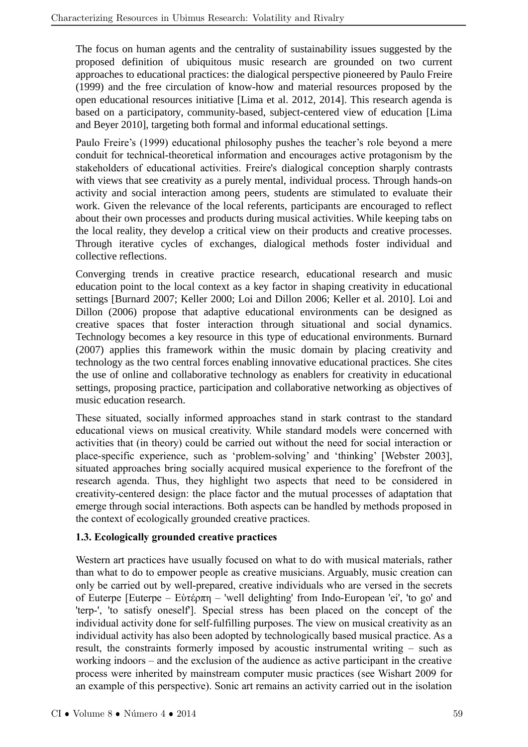The focus on human agents and the centrality of sustainability issues suggested by the proposed definition of ubiquitous music research are grounded on two current approaches to educational practices: the dialogical perspective pioneered by Paulo Freire (1999) and the free circulation of know-how and material resources proposed by the open educational resources initiative [Lima et al. 2012, 2014]. This research agenda is based on a participatory, community-based, subject-centered view of education [Lima and Beyer 2010], targeting both formal and informal educational settings.

Paulo Freire's (1999) educational philosophy pushes the teacher's role beyond a mere conduit for technical-theoretical information and encourages active protagonism by the stakeholders of educational activities. Freire's dialogical conception sharply contrasts with views that see creativity as a purely mental, individual process. Through hands-on activity and social interaction among peers, students are stimulated to evaluate their work. Given the relevance of the local referents, participants are encouraged to reflect about their own processes and products during musical activities. While keeping tabs on the local reality, they develop a critical view on their products and creative processes. Through iterative cycles of exchanges, dialogical methods foster individual and collective reflections.

Converging trends in creative practice research, educational research and music education point to the local context as a key factor in shaping creativity in educational settings [Burnard 2007; Keller 2000; Loi and Dillon 2006; Keller et al. 2010]. Loi and Dillon (2006) propose that adaptive educational environments can be designed as creative spaces that foster interaction through situational and social dynamics. Technology becomes a key resource in this type of educational environments. Burnard (2007) applies this framework within the music domain by placing creativity and technology as the two central forces enabling innovative educational practices. She cites the use of online and collaborative technology as enablers for creativity in educational settings, proposing practice, participation and collaborative networking as objectives of music education research.

These situated, socially informed approaches stand in stark contrast to the standard educational views on musical creativity. While standard models were concerned with activities that (in theory) could be carried out without the need for social interaction or place-specific experience, such as 'problem-solving' and 'thinking' [Webster 2003], situated approaches bring socially acquired musical experience to the forefront of the research agenda. Thus, they highlight two aspects that need to be considered in creativity-centered design: the place factor and the mutual processes of adaptation that emerge through social interactions. Both aspects can be handled by methods proposed in the context of ecologically grounded creative practices.

### **1.3. Ecologically grounded creative practices**

Western art practices have usually focused on what to do with musical materials, rather than what to do to empower people as creative musicians. Arguably, music creation can only be carried out by well-prepared, creative individuals who are versed in the secrets of Euterpe [Euterpe – Εὺτέρπη – 'well delighting' from Indo-European 'ei', 'to go' and 'terp-', 'to satisfy oneself']. Special stress has been placed on the concept of the individual activity done for self-fulfilling purposes. The view on musical creativity as an individual activity has also been adopted by technologically based musical practice. As a result, the constraints formerly imposed by acoustic instrumental writing – such as working indoors – and the exclusion of the audience as active participant in the creative process were inherited by mainstream computer music practices (see Wishart 2009 for an example of this perspective). Sonic art remains an activity carried out in the isolation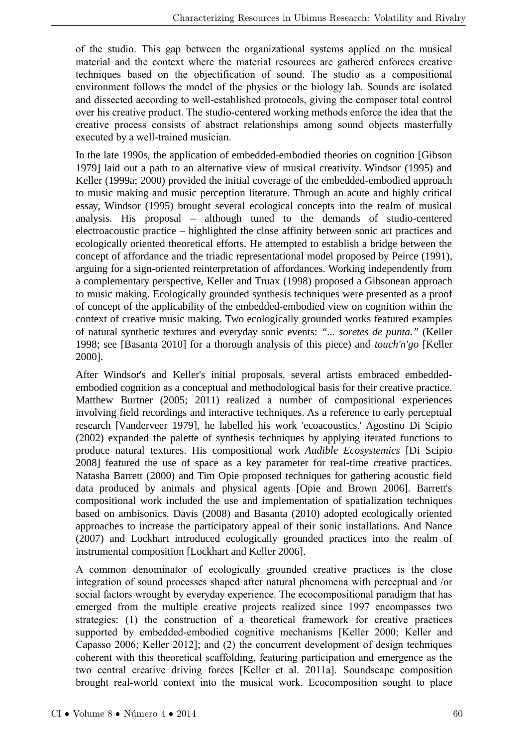of the studio. This gap between the organizational systems applied on the musical material and the context where the material resources are gathered enforces creative techniques based on the objectification of sound. The studio as a compositional environment follows the model of the physics or the biology lab. Sounds are isolated and dissected according to well-established protocols, giving the composer total control over his creative product. The studio-centered working methods enforce the idea that the creative process consists of abstract relationships among sound objects masterfully executed by a well-trained musician.

In the late 1990s, the application of embedded-embodied theories on cognition [Gibson 1979] laid out a path to an alternative view of musical creativity. Windsor (1995) and Keller (1999a; 2000) provided the initial coverage of the embedded-embodied approach to music making and music perception literature. Through an acute and highly critical essay, Windsor (1995) brought several ecological concepts into the realm of musical analysis. His proposal – although tuned to the demands of studio-centered electroacoustic practice – highlighted the close affinity between sonic art practices and ecologically oriented theoretical efforts. He attempted to establish a bridge between the concept of affordance and the triadic representational model proposed by Peirce (1991), arguing for a sign-oriented reinterpretation of affordances. Working independently from a complementary perspective, Keller and Truax (1998) proposed a Gibsonean approach to music making. Ecologically grounded synthesis techniques were presented as a proof of concept of the applicability of the embedded-embodied view on cognition within the context of creative music making. Two ecologically grounded works featured examples of natural synthetic textures and everyday sonic events: *"... soretes de punta."* (Keller 1998; see [Basanta 2010] for a thorough analysis of this piece) and *touch'n'go* [Keller 2000].

After Windsor's and Keller's initial proposals, several artists embraced embeddedembodied cognition as a conceptual and methodological basis for their creative practice. Matthew Burtner (2005; 2011) realized a number of compositional experiences involving field recordings and interactive techniques. As a reference to early perceptual research [Vanderveer 1979], he labelled his work 'ecoacoustics.' Agostino Di Scipio (2002) expanded the palette of synthesis techniques by applying iterated functions to produce natural textures. His compositional work *Audible Ecosystemics* [Di Scipio 2008] featured the use of space as a key parameter for real-time creative practices. Natasha Barrett (2000) and Tim Opie proposed techniques for gathering acoustic field data produced by animals and physical agents [Opie and Brown 2006]. Barrett's compositional work included the use and implementation of spatialization techniques based on ambisonics. Davis (2008) and Basanta (2010) adopted ecologically oriented approaches to increase the participatory appeal of their sonic installations. And Nance (2007) and Lockhart introduced ecologically grounded practices into the realm of instrumental composition [Lockhart and Keller 2006].

A common denominator of ecologically grounded creative practices is the close integration of sound processes shaped after natural phenomena with perceptual and /or social factors wrought by everyday experience. The ecocompositional paradigm that has emerged from the multiple creative projects realized since 1997 encompasses two strategies: (1) the construction of a theoretical framework for creative practices supported by embedded-embodied cognitive mechanisms [Keller 2000; Keller and Capasso 2006; Keller 2012]; and (2) the concurrent development of design techniques coherent with this theoretical scaffolding, featuring participation and emergence as the two central creative driving forces [Keller et al. 2011a]. Soundscape composition brought real-world context into the musical work. Ecocomposition sought to place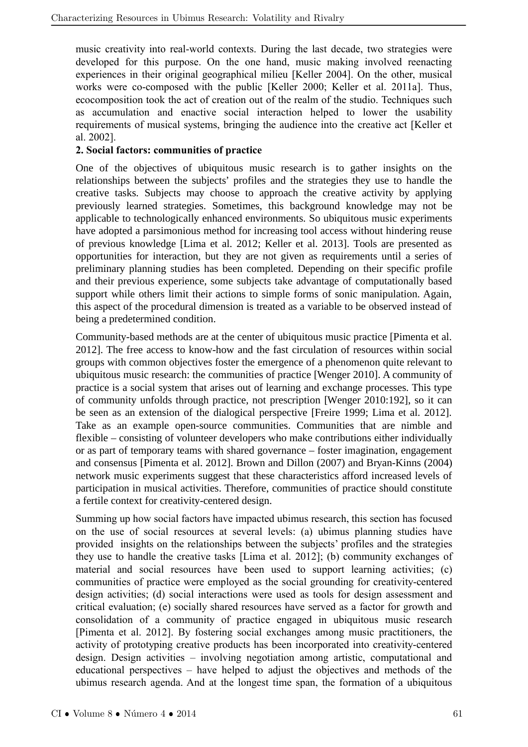music creativity into real-world contexts. During the last decade, two strategies were developed for this purpose. On the one hand, music making involved reenacting experiences in their original geographical milieu [Keller 2004]. On the other, musical works were co-composed with the public [Keller 2000; Keller et al. 2011a]. Thus, ecocomposition took the act of creation out of the realm of the studio. Techniques such as accumulation and enactive social interaction helped to lower the usability requirements of musical systems, bringing the audience into the creative act [Keller et al. 2002].

### **2. Social factors: communities of practice**

One of the objectives of ubiquitous music research is to gather insights on the relationships between the subjects' profiles and the strategies they use to handle the creative tasks. Subjects may choose to approach the creative activity by applying previously learned strategies. Sometimes, this background knowledge may not be applicable to technologically enhanced environments. So ubiquitous music experiments have adopted a parsimonious method for increasing tool access without hindering reuse of previous knowledge [Lima et al. 2012; Keller et al. 2013]. Tools are presented as opportunities for interaction, but they are not given as requirements until a series of preliminary planning studies has been completed. Depending on their specific profile and their previous experience, some subjects take advantage of computationally based support while others limit their actions to simple forms of sonic manipulation. Again, this aspect of the procedural dimension is treated as a variable to be observed instead of being a predetermined condition.

Community-based methods are at the center of ubiquitous music practice [Pimenta et al. 2012]. The free access to know-how and the fast circulation of resources within social groups with common objectives foster the emergence of a phenomenon quite relevant to ubiquitous music research: the communities of practice [Wenger 2010]. A community of practice is a social system that arises out of learning and exchange processes. This type of community unfolds through practice, not prescription [Wenger 2010:192], so it can be seen as an extension of the dialogical perspective [Freire 1999; Lima et al. 2012]. Take as an example open-source communities. Communities that are nimble and flexible – consisting of volunteer developers who make contributions either individually or as part of temporary teams with shared governance – foster imagination, engagement and consensus [Pimenta et al. 2012]. Brown and Dillon (2007) and Bryan-Kinns (2004) network music experiments suggest that these characteristics afford increased levels of participation in musical activities. Therefore, communities of practice should constitute a fertile context for creativity-centered design.

Summing up how social factors have impacted ubimus research, this section has focused on the use of social resources at several levels: (a) ubimus planning studies have provided insights on the relationships between the subjects' profiles and the strategies they use to handle the creative tasks [Lima et al. 2012]; (b) community exchanges of material and social resources have been used to support learning activities; (c) communities of practice were employed as the social grounding for creativity-centered design activities; (d) social interactions were used as tools for design assessment and critical evaluation; (e) socially shared resources have served as a factor for growth and consolidation of a community of practice engaged in ubiquitous music research [Pimenta et al. 2012]. By fostering social exchanges among music practitioners, the activity of prototyping creative products has been incorporated into creativity-centered design. Design activities – involving negotiation among artistic, computational and educational perspectives – have helped to adjust the objectives and methods of the ubimus research agenda. And at the longest time span, the formation of a ubiquitous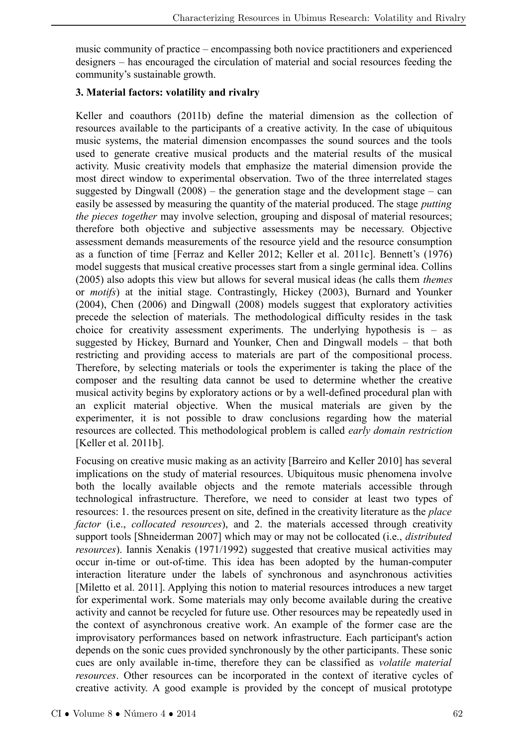music community of practice – encompassing both novice practitioners and experienced designers – has encouraged the circulation of material and social resources feeding the community's sustainable growth.

## **3. Material factors: volatility and rivalry**

Keller and coauthors (2011b) define the material dimension as the collection of resources available to the participants of a creative activity. In the case of ubiquitous music systems, the material dimension encompasses the sound sources and the tools used to generate creative musical products and the material results of the musical activity. Music creativity models that emphasize the material dimension provide the most direct window to experimental observation. Two of the three interrelated stages suggested by Dingwall  $(2008)$  – the generation stage and the development stage – can easily be assessed by measuring the quantity of the material produced. The stage *putting the pieces together* may involve selection, grouping and disposal of material resources; therefore both objective and subjective assessments may be necessary. Objective assessment demands measurements of the resource yield and the resource consumption as a function of time [Ferraz and Keller 2012; Keller et al. 2011c]. Bennett's (1976) model suggests that musical creative processes start from a single germinal idea. Collins (2005) also adopts this view but allows for several musical ideas (he calls them *themes* or *motifs*) at the initial stage. Contrastingly, Hickey (2003), Burnard and Younker (2004), Chen (2006) and Dingwall (2008) models suggest that exploratory activities precede the selection of materials. The methodological difficulty resides in the task choice for creativity assessment experiments. The underlying hypothesis is  $-$  as suggested by Hickey, Burnard and Younker, Chen and Dingwall models – that both restricting and providing access to materials are part of the compositional process. Therefore, by selecting materials or tools the experimenter is taking the place of the composer and the resulting data cannot be used to determine whether the creative musical activity begins by exploratory actions or by a well-defined procedural plan with an explicit material objective. When the musical materials are given by the experimenter, it is not possible to draw conclusions regarding how the material resources are collected. This methodological problem is called *early domain restriction* [Keller et al. 2011b].

Focusing on creative music making as an activity [Barreiro and Keller 2010] has several implications on the study of material resources. Ubiquitous music phenomena involve both the locally available objects and the remote materials accessible through technological infrastructure. Therefore, we need to consider at least two types of resources: 1. the resources present on site, defined in the creativity literature as the *place factor* (i.e., *collocated resources*), and 2. the materials accessed through creativity support tools [Shneiderman 2007] which may or may not be collocated (i.e., *distributed resources*). Iannis Xenakis (1971/1992) suggested that creative musical activities may occur in-time or out-of-time. This idea has been adopted by the human-computer interaction literature under the labels of synchronous and asynchronous activities [Miletto et al. 2011]. Applying this notion to material resources introduces a new target for experimental work. Some materials may only become available during the creative activity and cannot be recycled for future use. Other resources may be repeatedly used in the context of asynchronous creative work. An example of the former case are the improvisatory performances based on network infrastructure. Each participant's action depends on the sonic cues provided synchronously by the other participants. These sonic cues are only available in-time, therefore they can be classified as *volatile material resources*. Other resources can be incorporated in the context of iterative cycles of creative activity. A good example is provided by the concept of musical prototype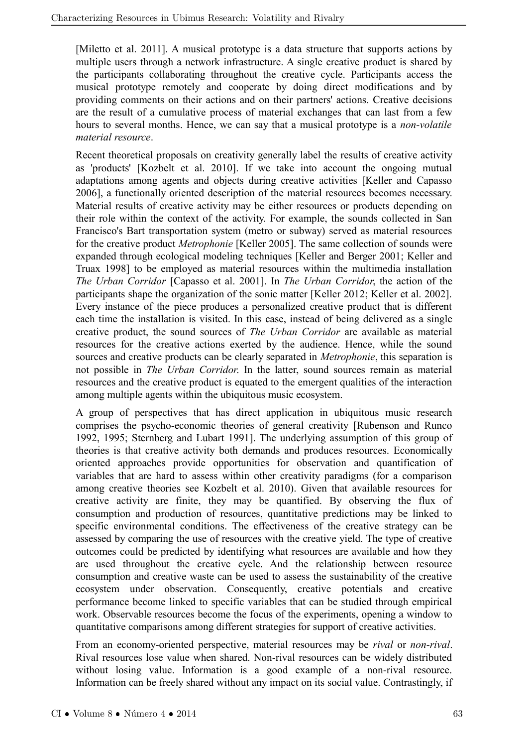[Miletto et al. 2011]. A musical prototype is a data structure that supports actions by multiple users through a network infrastructure. A single creative product is shared by the participants collaborating throughout the creative cycle. Participants access the musical prototype remotely and cooperate by doing direct modifications and by providing comments on their actions and on their partners' actions. Creative decisions are the result of a cumulative process of material exchanges that can last from a few hours to several months. Hence, we can say that a musical prototype is a *non-volatile material resource*.

Recent theoretical proposals on creativity generally label the results of creative activity as 'products' [Kozbelt et al. 2010]. If we take into account the ongoing mutual adaptations among agents and objects during creative activities [Keller and Capasso 2006], a functionally oriented description of the material resources becomes necessary. Material results of creative activity may be either resources or products depending on their role within the context of the activity. For example, the sounds collected in San Francisco's Bart transportation system (metro or subway) served as material resources for the creative product *Metrophonie* [Keller 2005]. The same collection of sounds were expanded through ecological modeling techniques [Keller and Berger 2001; Keller and Truax 1998] to be employed as material resources within the multimedia installation *The Urban Corridor* [Capasso et al. 2001]. In *The Urban Corridor*, the action of the participants shape the organization of the sonic matter [Keller 2012; Keller et al. 2002]. Every instance of the piece produces a personalized creative product that is different each time the installation is visited. In this case, instead of being delivered as a single creative product, the sound sources of *The Urban Corridor* are available as material resources for the creative actions exerted by the audience. Hence, while the sound sources and creative products can be clearly separated in *Metrophonie*, this separation is not possible in *The Urban Corridor*. In the latter, sound sources remain as material resources and the creative product is equated to the emergent qualities of the interaction among multiple agents within the ubiquitous music ecosystem.

A group of perspectives that has direct application in ubiquitous music research comprises the psycho-economic theories of general creativity [Rubenson and Runco 1992, 1995; Sternberg and Lubart 1991]. The underlying assumption of this group of theories is that creative activity both demands and produces resources. Economically oriented approaches provide opportunities for observation and quantification of variables that are hard to assess within other creativity paradigms (for a comparison among creative theories see Kozbelt et al. 2010). Given that available resources for creative activity are finite, they may be quantified. By observing the flux of consumption and production of resources, quantitative predictions may be linked to specific environmental conditions. The effectiveness of the creative strategy can be assessed by comparing the use of resources with the creative yield. The type of creative outcomes could be predicted by identifying what resources are available and how they are used throughout the creative cycle. And the relationship between resource consumption and creative waste can be used to assess the sustainability of the creative ecosystem under observation. Consequently, creative potentials and creative performance become linked to specific variables that can be studied through empirical work. Observable resources become the focus of the experiments, opening a window to quantitative comparisons among different strategies for support of creative activities.

From an economy-oriented perspective, material resources may be *rival* or *non-rival*. Rival resources lose value when shared. Non-rival resources can be widely distributed without losing value. Information is a good example of a non-rival resource. Information can be freely shared without any impact on its social value. Contrastingly, if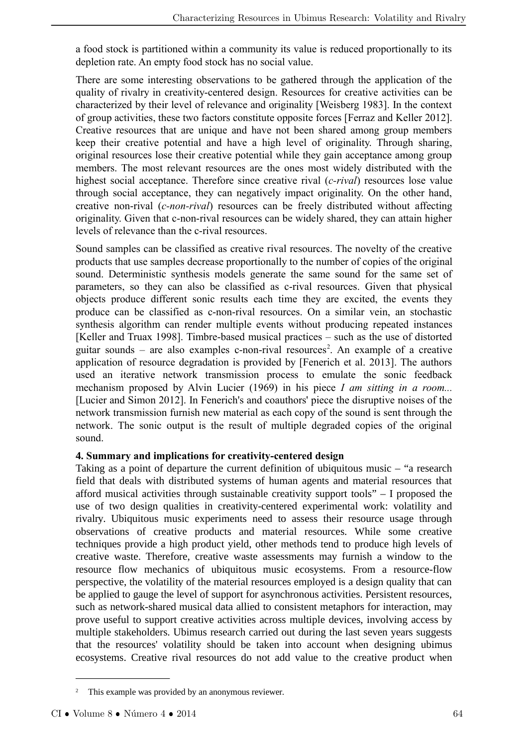a food stock is partitioned within a community its value is reduced proportionally to its depletion rate. An empty food stock has no social value.

There are some interesting observations to be gathered through the application of the quality of rivalry in creativity-centered design. Resources for creative activities can be characterized by their level of relevance and originality [Weisberg 1983]. In the context of group activities, these two factors constitute opposite forces [Ferraz and Keller 2012]. Creative resources that are unique and have not been shared among group members keep their creative potential and have a high level of originality. Through sharing, original resources lose their creative potential while they gain acceptance among group members. The most relevant resources are the ones most widely distributed with the highest social acceptance. Therefore since creative rival (*c-rival*) resources lose value through social acceptance, they can negatively impact originality. On the other hand, creative non-rival (*c-non-rival*) resources can be freely distributed without affecting originality. Given that c-non-rival resources can be widely shared, they can attain higher levels of relevance than the c-rival resources.

Sound samples can be classified as creative rival resources. The novelty of the creative products that use samples decrease proportionally to the number of copies of the original sound. Deterministic synthesis models generate the same sound for the same set of parameters, so they can also be classified as c-rival resources. Given that physical objects produce different sonic results each time they are excited, the events they produce can be classified as c-non-rival resources. On a similar vein, an stochastic synthesis algorithm can render multiple events without producing repeated instances [Keller and Truax 1998]. Timbre-based musical practices – such as the use of distorted guitar sounds – are also examples c-non-rival resources<sup>2</sup>. An example of a creative application of resource degradation is provided by [Fenerich et al. 2013]. The authors used an iterative network transmission process to emulate the sonic feedback mechanism proposed by Alvin Lucier (1969) in his piece *I am sitting in a room...* [Lucier and Simon 2012]. In Fenerich's and coauthors' piece the disruptive noises of the network transmission furnish new material as each copy of the sound is sent through the network. The sonic output is the result of multiple degraded copies of the original sound.

### **4. Summary and implications for creativity-centered design**

Taking as a point of departure the current definition of ubiquitous music – "a research field that deals with distributed systems of human agents and material resources that afford musical activities through sustainable creativity support tools" – I proposed the use of two design qualities in creativity-centered experimental work: volatility and rivalry. Ubiquitous music experiments need to assess their resource usage through observations of creative products and material resources. While some creative techniques provide a high product yield, other methods tend to produce high levels of creative waste. Therefore, creative waste assessments may furnish a window to the resource flow mechanics of ubiquitous music ecosystems. From a resource-flow perspective, the volatility of the material resources employed is a design quality that can be applied to gauge the level of support for asynchronous activities. Persistent resources, such as network-shared musical data allied to consistent metaphors for interaction, may prove useful to support creative activities across multiple devices, involving access by multiple stakeholders. Ubimus research carried out during the last seven years suggests that the resources' volatility should be taken into account when designing ubimus ecosystems. Creative rival resources do not add value to the creative product when

<sup>&</sup>lt;sup>2</sup> This example was provided by an anonymous reviewer.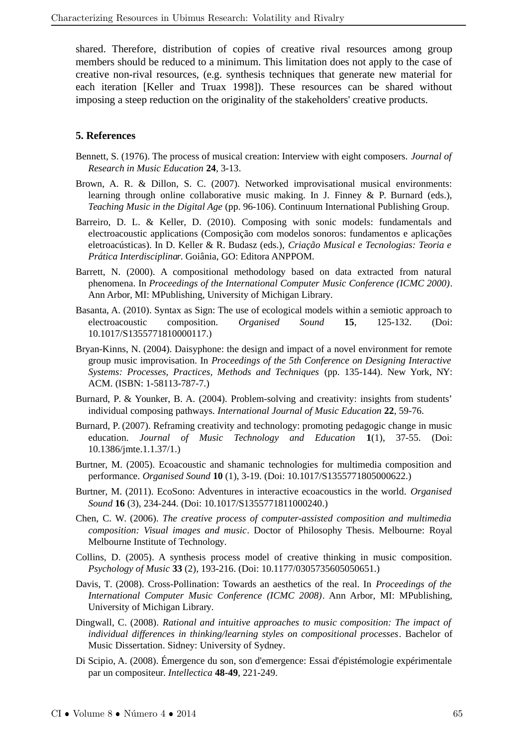shared. Therefore, distribution of copies of creative rival resources among group members should be reduced to a minimum. This limitation does not apply to the case of creative non-rival resources, (e.g. synthesis techniques that generate new material for each iteration [Keller and Truax 1998]). These resources can be shared without imposing a steep reduction on the originality of the stakeholders' creative products.

#### **5. References**

- Bennett, S. (1976). The process of musical creation: Interview with eight composers. *Journal of Research in Music Education* **24**, 3-13.
- Brown, A. R. & Dillon, S. C. (2007). Networked improvisational musical environments: learning through online collaborative music making. In J. Finney & P. Burnard (eds.), *Teaching Music in the Digital Age* (pp. 96-106). Continuum International Publishing Group.
- Barreiro, D. L. & Keller, D. (2010). Composing with sonic models: fundamentals and electroacoustic applications (Composição com modelos sonoros: fundamentos e aplicações eletroacústicas). In D. Keller & R. Budasz (eds.), *Criação Musical e Tecnologias: Teoria e Prática Interdisciplinar*. Goiânia, GO: Editora ANPPOM.
- Barrett, N. (2000). A compositional methodology based on data extracted from natural phenomena. In *Proceedings of the International Computer Music Conference (ICMC 2000)*. Ann Arbor, MI: MPublishing, University of Michigan Library.
- Basanta, A. (2010). Syntax as Sign: The use of ecological models within a semiotic approach to electroacoustic composition. *Organised Sound* **15**, 125-132. (Doi: 10.1017/S1355771810000117.)
- Bryan-Kinns, N. (2004). Daisyphone: the design and impact of a novel environment for remote group music improvisation. In *Proceedings of the 5th Conference on Designing Interactive Systems: Processes, Practices, Methods and Techniques* (pp. 135-144). New York, NY: ACM. (ISBN: 1-58113-787-7.)
- Burnard, P. & Younker, B. A. (2004). Problem-solving and creativity: insights from students' individual composing pathways. *International Journal of Music Education* **22**, 59-76.
- Burnard, P. (2007). Reframing creativity and technology: promoting pedagogic change in music education. *Journal of Music Technology and Education* **1**(1), 37-55. (Doi: 10.1386/jmte.1.1.37/1.)
- Burtner, M. (2005). Ecoacoustic and shamanic technologies for multimedia composition and performance. *Organised Sound* **10** (1), 3-19. (Doi: 10.1017/S1355771805000622.)
- Burtner, M. (2011). EcoSono: Adventures in interactive ecoacoustics in the world. *Organised Sound* **16** (3), 234-244. (Doi: 10.1017/S1355771811000240.)
- Chen, C. W. (2006). *The creative process of computer-assisted composition and multimedia composition: Visual images and music*. Doctor of Philosophy Thesis. Melbourne: Royal Melbourne Institute of Technology.
- Collins, D. (2005). A synthesis process model of creative thinking in music composition. *Psychology of Music* **33** (2), 193-216. (Doi: 10.1177/0305735605050651.)
- Davis, T. (2008). Cross-Pollination: Towards an aesthetics of the real. In *Proceedings of the International Computer Music Conference (ICMC 2008)*. Ann Arbor, MI: MPublishing, University of Michigan Library.
- Dingwall, C. (2008). *Rational and intuitive approaches to music composition: The impact of individual differences in thinking/learning styles on compositional processes*. Bachelor of Music Dissertation. Sidney: University of Sydney.
- Di Scipio, A. (2008). Émergence du son, son d'emergence: Essai d'épistémologie expérimentale par un compositeur. *Intellectica* **48-49**, 221-249.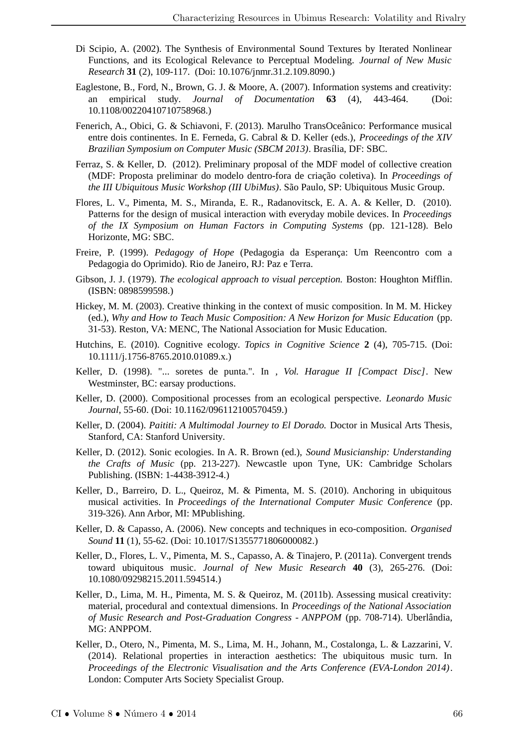- Di Scipio, A. (2002). The Synthesis of Environmental Sound Textures by Iterated Nonlinear Functions, and its Ecological Relevance to Perceptual Modeling. *Journal of New Music Research* **31** (2), 109-117. (Doi: 10.1076/jnmr.31.2.109.8090.)
- Eaglestone, B., Ford, N., Brown, G. J. & Moore, A. (2007). Information systems and creativity: an empirical study. *Journal of Documentation* **63** (4), 443-464. (Doi: 10.1108/00220410710758968.)
- Fenerich, A., Obici, G. & Schiavoni, F. (2013). Marulho TransOceânico: Performance musical entre dois continentes. In E. Ferneda, G. Cabral & D. Keller (eds.), *Proceedings of the XIV Brazilian Symposium on Computer Music (SBCM 2013)*. Brasília, DF: SBC.
- Ferraz, S. & Keller, D. (2012). Preliminary proposal of the MDF model of collective creation (MDF: Proposta preliminar do modelo dentro-fora de criação coletiva). In *Proceedings of the III Ubiquitous Music Workshop (III UbiMus)*. São Paulo, SP: Ubiquitous Music Group.
- Flores, L. V., Pimenta, M. S., Miranda, E. R., Radanovitsck, E. A. A. & Keller, D. (2010). Patterns for the design of musical interaction with everyday mobile devices. In *Proceedings of the IX Symposium on Human Factors in Computing Systems* (pp. 121-128). Belo Horizonte, MG: SBC.
- Freire, P. (1999). *Pedagogy of Hope* (Pedagogia da Esperança: Um Reencontro com a Pedagogia do Oprimido). Rio de Janeiro, RJ: Paz e Terra.
- Gibson, J. J. (1979). *The ecological approach to visual perception.* Boston: Houghton Mifflin. (ISBN: 0898599598.)
- Hickey, M. M. (2003). Creative thinking in the context of music composition. In M. M. Hickey (ed.), *Why and How to Teach Music Composition: A New Horizon for Music Education* (pp. 31-53). Reston, VA: MENC, The National Association for Music Education.
- Hutchins, E. (2010). Cognitive ecology. *Topics in Cognitive Science* **2** (4), 705-715. (Doi: 10.1111/j.1756-8765.2010.01089.x.)
- Keller, D. (1998). "... soretes de punta.". In *, Vol. Harague II [Compact Disc]*. New Westminster, BC: earsay productions.
- Keller, D. (2000). Compositional processes from an ecological perspective. *Leonardo Music Journal*, 55-60. (Doi: 10.1162/096112100570459.)
- Keller, D. (2004). *Paititi: A Multimodal Journey to El Dorado.* Doctor in Musical Arts Thesis, Stanford, CA: Stanford University.
- Keller, D. (2012). Sonic ecologies. In A. R. Brown (ed.), *Sound Musicianship: Understanding the Crafts of Music* (pp. 213-227). Newcastle upon Tyne, UK: Cambridge Scholars Publishing. (ISBN: 1-4438-3912-4.)
- Keller, D., Barreiro, D. L., Queiroz, M. & Pimenta, M. S. (2010). Anchoring in ubiquitous musical activities. In *Proceedings of the International Computer Music Conference* (pp. 319-326). Ann Arbor, MI: MPublishing.
- Keller, D. & Capasso, A. (2006). New concepts and techniques in eco-composition. *Organised Sound* **11** (1), 55-62. (Doi: 10.1017/S1355771806000082.)
- Keller, D., Flores, L. V., Pimenta, M. S., Capasso, A. & Tinajero, P. (2011a). Convergent trends toward ubiquitous music. *Journal of New Music Research* **40** (3), 265-276. (Doi: 10.1080/09298215.2011.594514.)
- Keller, D., Lima, M. H., Pimenta, M. S. & Queiroz, M. (2011b). Assessing musical creativity: material, procedural and contextual dimensions. In *Proceedings of the National Association of Music Research and Post-Graduation Congress - ANPPOM* (pp. 708-714). Uberlândia, MG: ANPPOM.
- Keller, D., Otero, N., Pimenta, M. S., Lima, M. H., Johann, M., Costalonga, L. & Lazzarini, V. (2014). Relational properties in interaction aesthetics: The ubiquitous music turn. In *Proceedings of the Electronic Visualisation and the Arts Conference (EVA-London 2014)*. London: Computer Arts Society Specialist Group.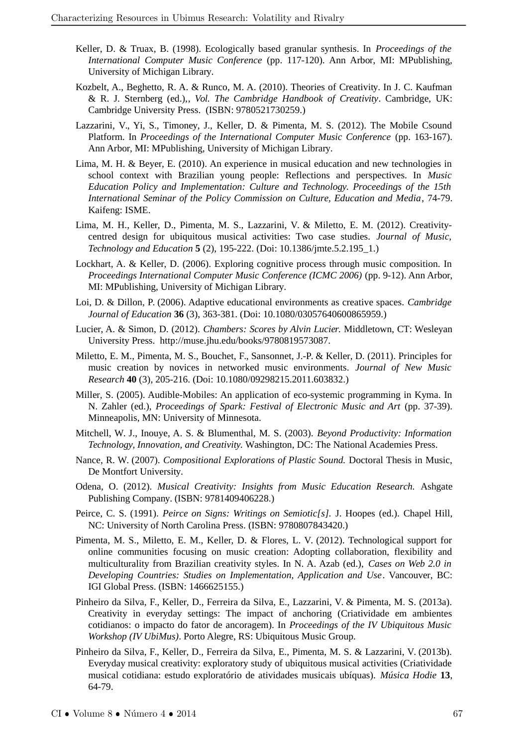- Keller, D. & Truax, B. (1998). Ecologically based granular synthesis. In *Proceedings of the International Computer Music Conference* (pp. 117-120). Ann Arbor, MI: MPublishing, University of Michigan Library.
- Kozbelt, A., Beghetto, R. A. & Runco, M. A. (2010). Theories of Creativity. In J. C. Kaufman & R. J. Sternberg (ed.),*, Vol. The Cambridge Handbook of Creativity*. Cambridge, UK: Cambridge University Press. (ISBN: 9780521730259.)
- Lazzarini, V., Yi, S., Timoney, J., Keller, D. & Pimenta, M. S. (2012). The Mobile Csound Platform. In *Proceedings of the International Computer Music Conference* (pp. 163-167). Ann Arbor, MI: MPublishing, University of Michigan Library.
- Lima, M. H. & Beyer, E. (2010). An experience in musical education and new technologies in school context with Brazilian young people: Reflections and perspectives. In *Music Education Policy and Implementation: Culture and Technology. Proceedings of the 15th International Seminar of the Policy Commission on Culture, Education and Media*, 74-79. Kaifeng: ISME.
- Lima, M. H., Keller, D., Pimenta, M. S., Lazzarini, V. & Miletto, E. M. (2012). Creativitycentred design for ubiquitous musical activities: Two case studies. *Journal of Music, Technology and Education* **5** (2), 195-222. (Doi: 10.1386/jmte.5.2.195\_1.)
- Lockhart, A. & Keller, D. (2006). Exploring cognitive process through music composition. In *Proceedings International Computer Music Conference (ICMC 2006)* (pp. 9-12). Ann Arbor, MI: MPublishing, University of Michigan Library.
- Loi, D. & Dillon, P. (2006). Adaptive educational environments as creative spaces. *Cambridge Journal of Education* **36** (3), 363-381. (Doi: 10.1080/03057640600865959.)
- Lucier, A. & Simon, D. (2012). *Chambers: Scores by Alvin Lucier.* Middletown, CT: Wesleyan University Press. http://muse.jhu.edu/books/9780819573087.
- Miletto, E. M., Pimenta, M. S., Bouchet, F., Sansonnet, J.-P. & Keller, D. (2011). Principles for music creation by novices in networked music environments. *Journal of New Music Research* **40** (3), 205-216. (Doi: 10.1080/09298215.2011.603832.)
- Miller, S. (2005). Audible-Mobiles: An application of eco-systemic programming in Kyma. In N. Zahler (ed.), *Proceedings of Spark: Festival of Electronic Music and Art* (pp. 37-39). Minneapolis, MN: University of Minnesota.
- Mitchell, W. J., Inouye, A. S. & Blumenthal, M. S. (2003). *Beyond Productivity: Information Technology, Innovation, and Creativity.* Washington, DC: The National Academies Press.
- Nance, R. W. (2007). *Compositional Explorations of Plastic Sound.* Doctoral Thesis in Music, De Montfort University.
- Odena, O. (2012). *Musical Creativity: Insights from Music Education Research.* Ashgate Publishing Company. (ISBN: 9781409406228.)
- Peirce, C. S. (1991). *Peirce on Signs: Writings on Semiotic[s].* J. Hoopes (ed.). Chapel Hill, NC: University of North Carolina Press. (ISBN: 9780807843420.)
- Pimenta, M. S., Miletto, E. M., Keller, D. & Flores, L. V. (2012). Technological support for online communities focusing on music creation: Adopting collaboration, flexibility and multiculturality from Brazilian creativity styles. In N. A. Azab (ed.), *Cases on Web 2.0 in Developing Countries: Studies on Implementation, Application and Use*. Vancouver, BC: IGI Global Press. (ISBN: 1466625155.)
- Pinheiro da Silva, F., Keller, D., Ferreira da Silva, E., Lazzarini, V. & Pimenta, M. S. (2013a). Creativity in everyday settings: The impact of anchoring (Criatividade em ambientes cotidianos: o impacto do fator de ancoragem). In *Proceedings of the IV Ubiquitous Music Workshop (IV UbiMus)*. Porto Alegre, RS: Ubiquitous Music Group.
- Pinheiro da Silva, F., Keller, D., Ferreira da Silva, E., Pimenta, M. S. & Lazzarini, V. (2013b). Everyday musical creativity: exploratory study of ubiquitous musical activities (Criatividade musical cotidiana: estudo exploratório de atividades musicais ubíquas). *Música Hodie* **13**, 64-79.